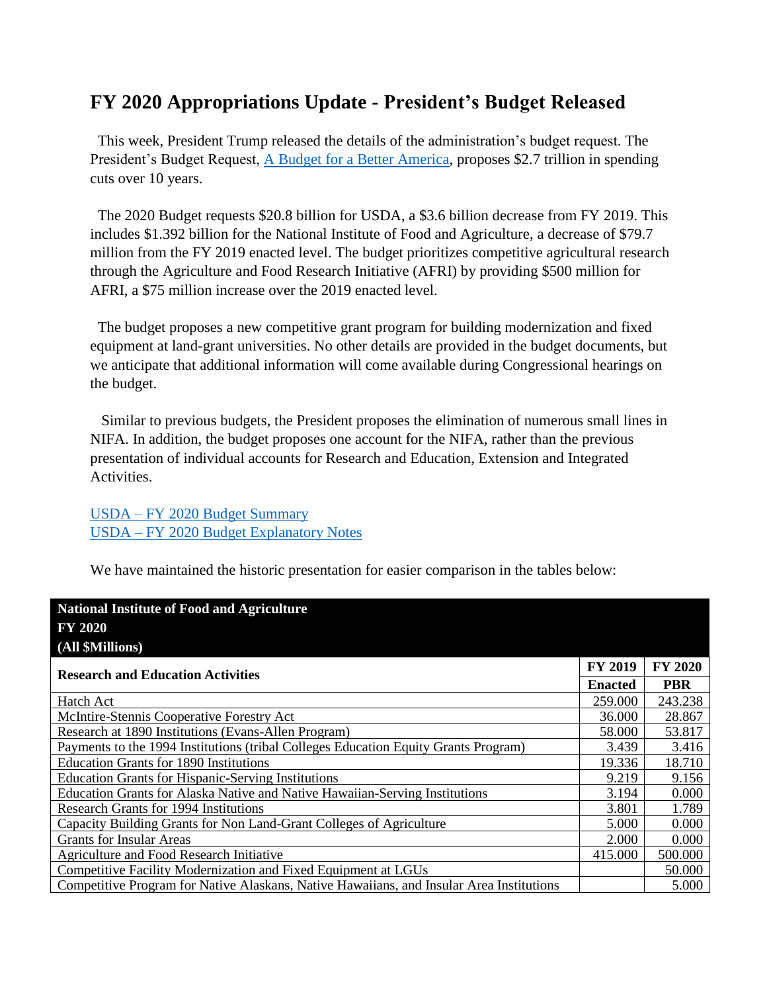## **FY 2020 Appropriations Update - President's Budget Released**

 This week, President Trump released the details of the administration's budget request. The President's Budget Request, [A Budget for a Better America,](https://www.whitehouse.gov/wp-content/uploads/2019/03/budget-fy2020.pdf) proposes \$2.7 trillion in spending cuts over 10 years.

 The 2020 Budget requests \$20.8 billion for USDA, a \$3.6 billion decrease from FY 2019. This includes \$1.392 billion for the National Institute of Food and Agriculture, a decrease of \$79.7 million from the FY 2019 enacted level. The budget prioritizes competitive agricultural research through the Agriculture and Food Research Initiative (AFRI) by providing \$500 million for AFRI, a \$75 million increase over the 2019 enacted level.

 The budget proposes a new competitive grant program for building modernization and fixed equipment at land-grant universities. No other details are provided in the budget documents, but we anticipate that additional information will come available during Congressional hearings on the budget.

 Similar to previous budgets, the President proposes the elimination of numerous small lines in NIFA. In addition, the budget proposes one account for the NIFA, rather than the previous presentation of individual accounts for Research and Education, Extension and Integrated Activities.

USDA – [FY 2020 Budget Summary](https://www.obpa.usda.gov/budsum/fy2020budsum.pdf) USDA – [FY 2020 Budget Explanatory Notes](https://www.obpa.usda.gov/USDA2020CJ.pdf)

We have maintained the historic presentation for easier comparison in the tables below:

| <b>National Institute of Food and Agriculture</b><br><b>FY 2020</b><br>(All \$Millions)  |                |                |
|------------------------------------------------------------------------------------------|----------------|----------------|
| <b>Research and Education Activities</b>                                                 | <b>FY 2019</b> | <b>FY 2020</b> |
|                                                                                          | <b>Enacted</b> | <b>PBR</b>     |
| Hatch Act                                                                                | 259.000        | 243.238        |
| McIntire-Stennis Cooperative Forestry Act                                                | 36.000         | 28.867         |
| Research at 1890 Institutions (Evans-Allen Program)                                      | 58.000         | 53.817         |
| Payments to the 1994 Institutions (tribal Colleges Education Equity Grants Program)      | 3.439          | 3.416          |
| <b>Education Grants for 1890 Institutions</b>                                            | 19.336         | 18.710         |
| <b>Education Grants for Hispanic-Serving Institutions</b>                                | 9.219          | 9.156          |
| Education Grants for Alaska Native and Native Hawaiian-Serving Institutions              | 3.194          | 0.000          |
| Research Grants for 1994 Institutions                                                    | 3.801          | 1.789          |
| Capacity Building Grants for Non Land-Grant Colleges of Agriculture                      | 5.000          | 0.000          |
| <b>Grants for Insular Areas</b>                                                          | 2.000          | 0.000          |
| Agriculture and Food Research Initiative                                                 | 415.000        | 500.000        |
| Competitive Facility Modernization and Fixed Equipment at LGUs                           |                | 50.000         |
| Competitive Program for Native Alaskans, Native Hawaiians, and Insular Area Institutions |                | 5.000          |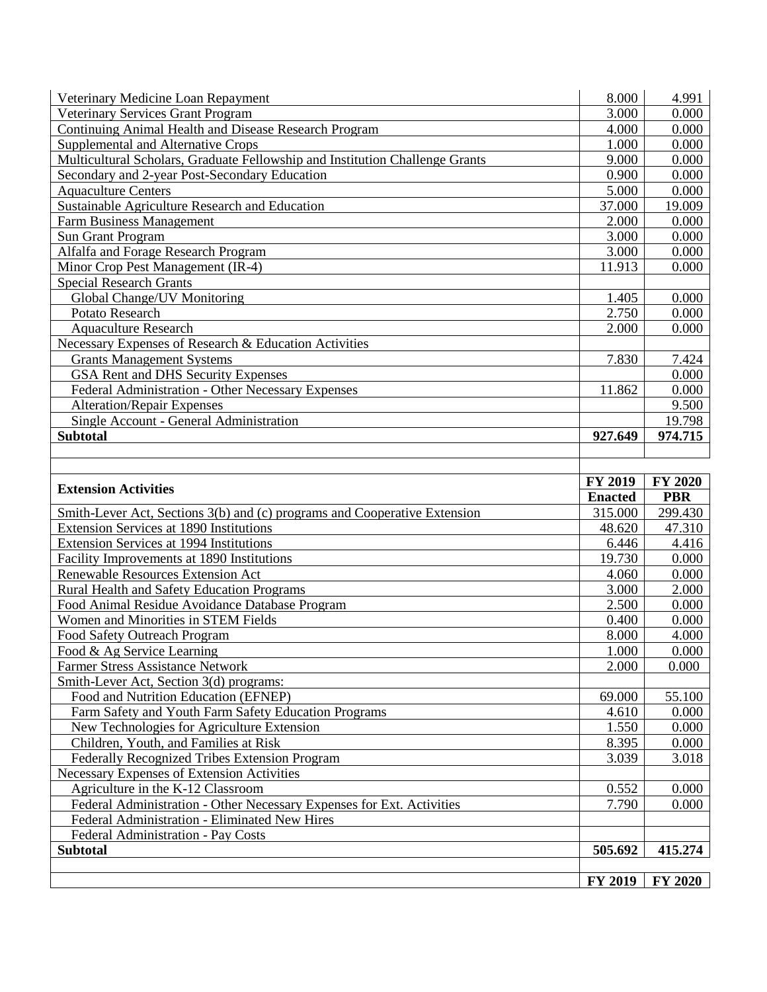| Veterinary Medicine Loan Repayment                                           | 8.000          | 4.991          |
|------------------------------------------------------------------------------|----------------|----------------|
| <b>Veterinary Services Grant Program</b>                                     | 3.000          | 0.000          |
| Continuing Animal Health and Disease Research Program                        | 4.000          | 0.000          |
| Supplemental and Alternative Crops                                           | 1.000          | 0.000          |
| Multicultural Scholars, Graduate Fellowship and Institution Challenge Grants | 9.000          | 0.000          |
| Secondary and 2-year Post-Secondary Education                                | 0.900          | 0.000          |
| <b>Aquaculture Centers</b>                                                   | 5.000          | 0.000          |
| Sustainable Agriculture Research and Education                               | 37.000         | 19.009         |
| <b>Farm Business Management</b>                                              | 2.000          | 0.000          |
| <b>Sun Grant Program</b>                                                     | 3.000          | 0.000          |
| Alfalfa and Forage Research Program                                          | 3.000          | 0.000          |
| Minor Crop Pest Management (IR-4)                                            | 11.913         | 0.000          |
| <b>Special Research Grants</b>                                               |                |                |
| Global Change/UV Monitoring                                                  | 1.405          | 0.000          |
| Potato Research                                                              | 2.750          | 0.000          |
| <b>Aquaculture Research</b>                                                  | 2.000          | 0.000          |
| Necessary Expenses of Research & Education Activities                        |                |                |
| <b>Grants Management Systems</b>                                             | 7.830          | 7.424          |
| GSA Rent and DHS Security Expenses                                           |                | 0.000          |
| Federal Administration - Other Necessary Expenses                            | 11.862         | 0.000          |
| <b>Alteration/Repair Expenses</b>                                            |                | 9.500          |
| Single Account - General Administration                                      |                | 19.798         |
| <b>Subtotal</b>                                                              | 927.649        | 974.715        |
|                                                                              |                |                |
|                                                                              |                |                |
| <b>Extension Activities</b>                                                  | <b>FY 2019</b> | <b>FY 2020</b> |
|                                                                              | <b>Enacted</b> | <b>PBR</b>     |
| Smith-Lever Act, Sections 3(b) and (c) programs and Cooperative Extension    | 315.000        | 299.430        |
| Extension Services at 1890 Institutions                                      | 48.620         | 47.310         |
| Extension Services at 1994 Institutions                                      | 6.446          | 4.416          |
| Facility Improvements at 1890 Institutions                                   | 19.730         | 0.000          |
| Renewable Resources Extension Act                                            | 4.060          | 0.000          |
| <b>Rural Health and Safety Education Programs</b>                            | 3.000          | 2.000          |
| Food Animal Residue Avoidance Database Program                               | 2.500          | 0.000          |
| Women and Minorities in STEM Fields                                          | 0.400          | 0.000          |
| Food Safety Outreach Program                                                 | 8.000          | 4.000          |
| Food & Ag Service Learning                                                   | 1.000          | 0.000          |
| <b>Farmer Stress Assistance Network</b>                                      | 2.000          | 0.000          |
| Smith-Lever Act, Section 3(d) programs:                                      |                |                |
| Food and Nutrition Education (EFNEP)                                         | 69.000         | 55.100         |
| Farm Safety and Youth Farm Safety Education Programs                         | 4.610          | 0.000          |
| New Technologies for Agriculture Extension                                   | 1.550          | 0.000          |
| Children, Youth, and Families at Risk                                        | 8.395          | 0.000          |
| Federally Recognized Tribes Extension Program                                | 3.039          | 3.018          |
| Necessary Expenses of Extension Activities                                   |                |                |
| Agriculture in the K-12 Classroom                                            | 0.552          | 0.000          |
|                                                                              |                |                |
| Federal Administration - Other Necessary Expenses for Ext. Activities        | 7.790          | 0.000          |
| Federal Administration - Eliminated New Hires                                |                |                |
| Federal Administration - Pay Costs                                           |                |                |
| <b>Subtotal</b>                                                              | 505.692        | 415.274        |